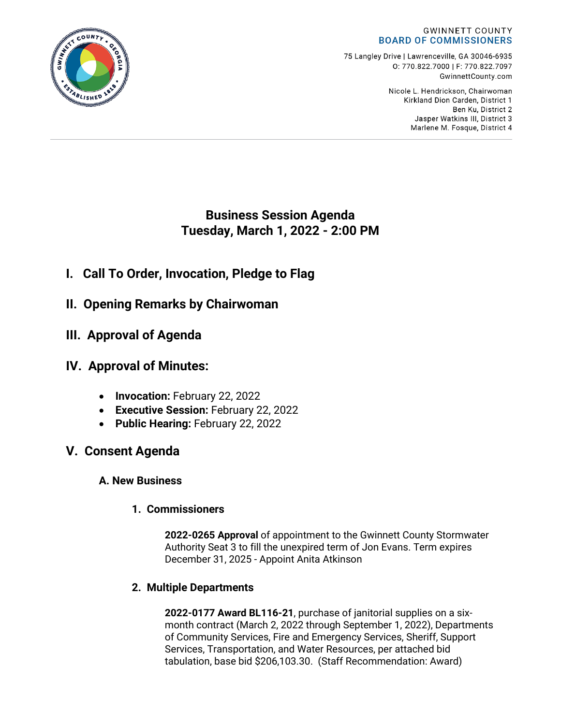#### **GWINNETT COUNTY BOARD OF COMMISSIONERS**

75 Langley Drive | Lawrenceville, GA 30046-6935 0:770.822.7000 | F: 770.822.7097 GwinnettCounty.com

> Nicole L. Hendrickson, Chairwoman Kirkland Dion Carden, District 1 Ben Ku. District 2 Jasper Watkins III, District 3 Marlene M. Fosque, District 4

**Business Session Agenda Tuesday, March 1, 2022 - 2:00 PM**

- **I. Call To Order, Invocation, Pledge to Flag**
- **II. Opening Remarks by Chairwoman**
- **III. Approval of Agenda**
- **IV. Approval of Minutes:**
	- **Invocation:** February 22, 2022
	- **Executive Session:** February 22, 2022
	- **Public Hearing:** February 22, 2022
- **V. Consent Agenda**
	- **A. New Business**
		- **1. Commissioners**

**2022-0265 Approval** of appointment to the Gwinnett County Stormwater Authority Seat 3 to fill the unexpired term of Jon Evans. Term expires December 31, 2025 - Appoint Anita Atkinson

### **2. Multiple Departments**

**2022-0177 Award BL116-21**, purchase of janitorial supplies on a sixmonth contract (March 2, 2022 through September 1, 2022), Departments of Community Services, Fire and Emergency Services, Sheriff, Support Services, Transportation, and Water Resources, per attached bid tabulation, base bid \$206,103.30. (Staff Recommendation: Award)

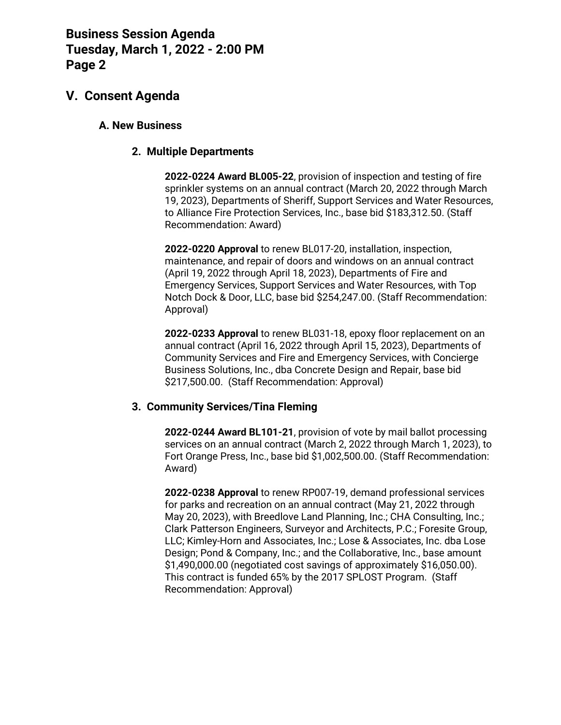### **V. Consent Agenda**

### **A. New Business**

#### **2. Multiple Departments**

**2022-0224 Award BL005-22**, provision of inspection and testing of fire sprinkler systems on an annual contract (March 20, 2022 through March 19, 2023), Departments of Sheriff, Support Services and Water Resources, to Alliance Fire Protection Services, Inc., base bid \$183,312.50. (Staff Recommendation: Award)

**2022-0220 Approval** to renew BL017-20, installation, inspection, maintenance, and repair of doors and windows on an annual contract (April 19, 2022 through April 18, 2023), Departments of Fire and Emergency Services, Support Services and Water Resources, with Top Notch Dock & Door, LLC, base bid \$254,247.00. (Staff Recommendation: Approval)

**2022-0233 Approval** to renew BL031-18, epoxy floor replacement on an annual contract (April 16, 2022 through April 15, 2023), Departments of Community Services and Fire and Emergency Services, with Concierge Business Solutions, Inc., dba Concrete Design and Repair, base bid \$217,500.00. (Staff Recommendation: Approval)

#### **3. Community Services/Tina Fleming**

**2022-0244 Award BL101-21**, provision of vote by mail ballot processing services on an annual contract (March 2, 2022 through March 1, 2023), to Fort Orange Press, Inc., base bid \$1,002,500.00. (Staff Recommendation: Award)

**2022-0238 Approval** to renew RP007-19, demand professional services for parks and recreation on an annual contract (May 21, 2022 through May 20, 2023), with Breedlove Land Planning, Inc.; CHA Consulting, Inc.; Clark Patterson Engineers, Surveyor and Architects, P.C.; Foresite Group, LLC; Kimley-Horn and Associates, Inc.; Lose & Associates, Inc. dba Lose Design; Pond & Company, Inc.; and the Collaborative, Inc., base amount \$1,490,000.00 (negotiated cost savings of approximately \$16,050.00). This contract is funded 65% by the 2017 SPLOST Program. (Staff Recommendation: Approval)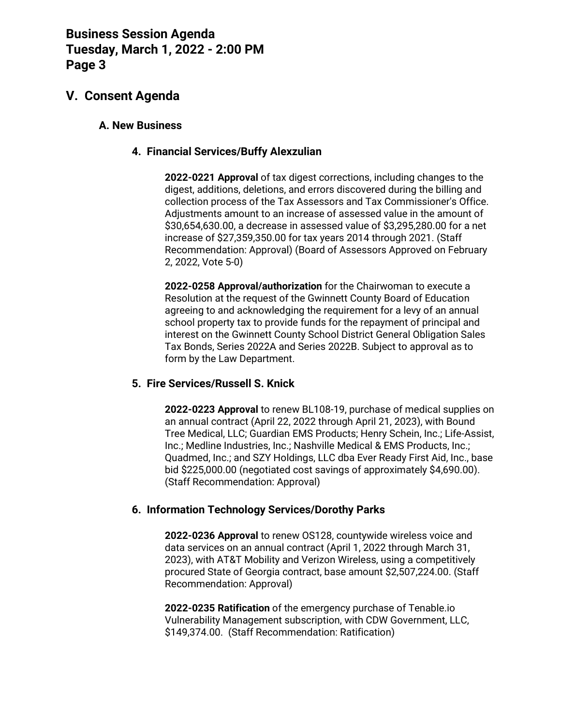### **V. Consent Agenda**

### **A. New Business**

### **4. Financial Services/Buffy Alexzulian**

**2022-0221 Approval** of tax digest corrections, including changes to the digest, additions, deletions, and errors discovered during the billing and collection process of the Tax Assessors and Tax Commissioner's Office. Adjustments amount to an increase of assessed value in the amount of \$30,654,630.00, a decrease in assessed value of \$3,295,280.00 for a net increase of \$27,359,350.00 for tax years 2014 through 2021. (Staff Recommendation: Approval) (Board of Assessors Approved on February 2, 2022, Vote 5-0)

**2022-0258 Approval/authorization** for the Chairwoman to execute a Resolution at the request of the Gwinnett County Board of Education agreeing to and acknowledging the requirement for a levy of an annual school property tax to provide funds for the repayment of principal and interest on the Gwinnett County School District General Obligation Sales Tax Bonds, Series 2022A and Series 2022B. Subject to approval as to form by the Law Department.

#### **5. Fire Services/Russell S. Knick**

**2022-0223 Approval** to renew BL108-19, purchase of medical supplies on an annual contract (April 22, 2022 through April 21, 2023), with Bound Tree Medical, LLC; Guardian EMS Products; Henry Schein, Inc.; Life-Assist, Inc.; Medline Industries, Inc.; Nashville Medical & EMS Products, Inc.; Quadmed, Inc.; and SZY Holdings, LLC dba Ever Ready First Aid, Inc., base bid \$225,000.00 (negotiated cost savings of approximately \$4,690.00). (Staff Recommendation: Approval)

### **6. Information Technology Services/Dorothy Parks**

**2022-0236 Approval** to renew OS128, countywide wireless voice and data services on an annual contract (April 1, 2022 through March 31, 2023), with AT&T Mobility and Verizon Wireless, using a competitively procured State of Georgia contract, base amount \$2,507,224.00. (Staff Recommendation: Approval)

**2022-0235 Ratification** of the emergency purchase of Tenable.io Vulnerability Management subscription, with CDW Government, LLC, \$149,374.00. (Staff Recommendation: Ratification)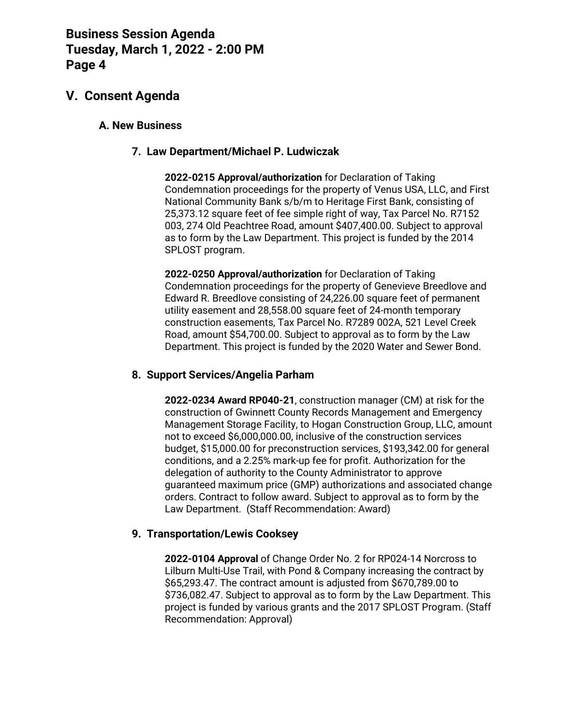### **V. Consent Agenda**

### **A. New Business**

### **7. Law Department/Michael P. Ludwiczak**

**2022-0215 Approval/authorization** for Declaration of Taking Condemnation proceedings for the property of Venus USA, LLC, and First National Community Bank s/b/m to Heritage First Bank, consisting of 25,373.12 square feet of fee simple right of way, Tax Parcel No. R7152 003, 274 Old Peachtree Road, amount \$407,400.00. Subject to approval as to form by the Law Department. This project is funded by the 2014 SPLOST program.

**2022-0250 Approval/authorization** for Declaration of Taking Condemnation proceedings for the property of Genevieve Breedlove and Edward R. Breedlove consisting of 24,226.00 square feet of permanent utility easement and 28,558.00 square feet of 24-month temporary construction easements, Tax Parcel No. R7289 002A, 521 Level Creek Road, amount \$54,700.00. Subject to approval as to form by the Law Department. This project is funded by the 2020 Water and Sewer Bond.

#### **8. Support Services/Angelia Parham**

**2022-0234 Award RP040-21**, construction manager (CM) at risk for the construction of Gwinnett County Records Management and Emergency Management Storage Facility, to Hogan Construction Group, LLC, amount not to exceed \$6,000,000.00, inclusive of the construction services budget, \$15,000.00 for preconstruction services, \$193,342.00 for general conditions, and a 2.25% mark-up fee for profit. Authorization for the delegation of authority to the County Administrator to approve guaranteed maximum price (GMP) authorizations and associated change orders. Contract to follow award. Subject to approval as to form by the Law Department. (Staff Recommendation: Award)

### **9. Transportation/Lewis Cooksey**

**2022-0104 Approval** of Change Order No. 2 for RP024-14 Norcross to Lilburn Multi-Use Trail, with Pond & Company increasing the contract by \$65,293.47. The contract amount is adjusted from \$670,789.00 to \$736,082.47. Subject to approval as to form by the Law Department. This project is funded by various grants and the 2017 SPLOST Program. (Staff Recommendation: Approval)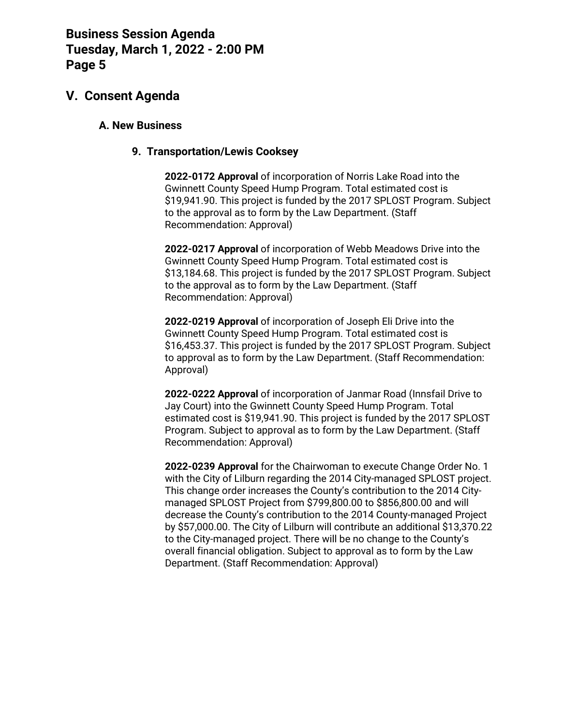### **V. Consent Agenda**

### **A. New Business**

### **9. Transportation/Lewis Cooksey**

**2022-0172 Approval** of incorporation of Norris Lake Road into the Gwinnett County Speed Hump Program. Total estimated cost is \$19,941.90. This project is funded by the 2017 SPLOST Program. Subject to the approval as to form by the Law Department. (Staff Recommendation: Approval)

**2022-0217 Approval** of incorporation of Webb Meadows Drive into the Gwinnett County Speed Hump Program. Total estimated cost is \$13,184.68. This project is funded by the 2017 SPLOST Program. Subject to the approval as to form by the Law Department. (Staff Recommendation: Approval)

**2022-0219 Approval** of incorporation of Joseph Eli Drive into the Gwinnett County Speed Hump Program. Total estimated cost is \$16,453.37. This project is funded by the 2017 SPLOST Program. Subject to approval as to form by the Law Department. (Staff Recommendation: Approval)

**2022-0222 Approval** of incorporation of Janmar Road (Innsfail Drive to Jay Court) into the Gwinnett County Speed Hump Program. Total estimated cost is \$19,941.90. This project is funded by the 2017 SPLOST Program. Subject to approval as to form by the Law Department. (Staff Recommendation: Approval)

**2022-0239 Approval** for the Chairwoman to execute Change Order No. 1 with the City of Lilburn regarding the 2014 City-managed SPLOST project. This change order increases the County's contribution to the 2014 Citymanaged SPLOST Project from \$799,800.00 to \$856,800.00 and will decrease the County's contribution to the 2014 County-managed Project by \$57,000.00. The City of Lilburn will contribute an additional \$13,370.22 to the City-managed project. There will be no change to the County's overall financial obligation. Subject to approval as to form by the Law Department. (Staff Recommendation: Approval)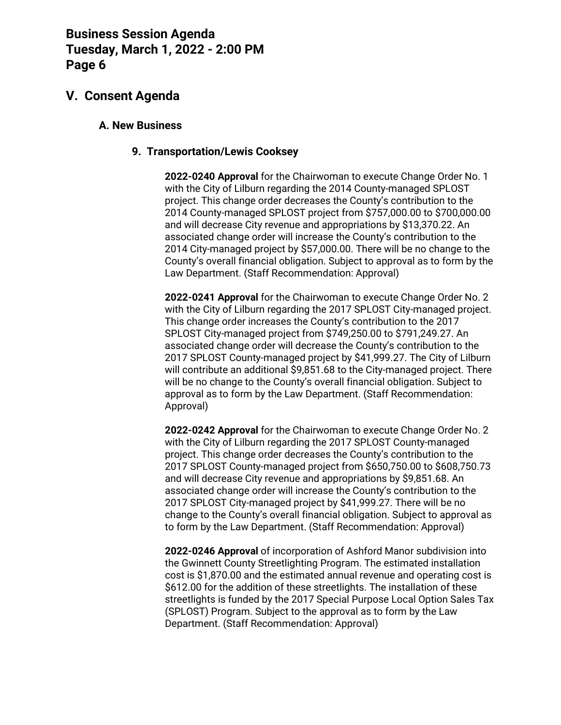### **V. Consent Agenda**

### **A. New Business**

### **9. Transportation/Lewis Cooksey**

**2022-0240 Approval** for the Chairwoman to execute Change Order No. 1 with the City of Lilburn regarding the 2014 County-managed SPLOST project. This change order decreases the County's contribution to the 2014 County-managed SPLOST project from \$757,000.00 to \$700,000.00 and will decrease City revenue and appropriations by \$13,370.22. An associated change order will increase the County's contribution to the 2014 City-managed project by \$57,000.00. There will be no change to the County's overall financial obligation. Subject to approval as to form by the Law Department. (Staff Recommendation: Approval)

**2022-0241 Approval** for the Chairwoman to execute Change Order No. 2 with the City of Lilburn regarding the 2017 SPLOST City-managed project. This change order increases the County's contribution to the 2017 SPLOST City-managed project from \$749,250.00 to \$791,249.27. An associated change order will decrease the County's contribution to the 2017 SPLOST County-managed project by \$41,999.27. The City of Lilburn will contribute an additional \$9,851.68 to the City-managed project. There will be no change to the County's overall financial obligation. Subject to approval as to form by the Law Department. (Staff Recommendation: Approval)

**2022-0242 Approval** for the Chairwoman to execute Change Order No. 2 with the City of Lilburn regarding the 2017 SPLOST County-managed project. This change order decreases the County's contribution to the 2017 SPLOST County-managed project from \$650,750.00 to \$608,750.73 and will decrease City revenue and appropriations by \$9,851.68. An associated change order will increase the County's contribution to the 2017 SPLOST City-managed project by \$41,999.27. There will be no change to the County's overall financial obligation. Subject to approval as to form by the Law Department. (Staff Recommendation: Approval)

**2022-0246 Approval** of incorporation of Ashford Manor subdivision into the Gwinnett County Streetlighting Program. The estimated installation cost is \$1,870.00 and the estimated annual revenue and operating cost is \$612.00 for the addition of these streetlights. The installation of these streetlights is funded by the 2017 Special Purpose Local Option Sales Tax (SPLOST) Program. Subject to the approval as to form by the Law Department. (Staff Recommendation: Approval)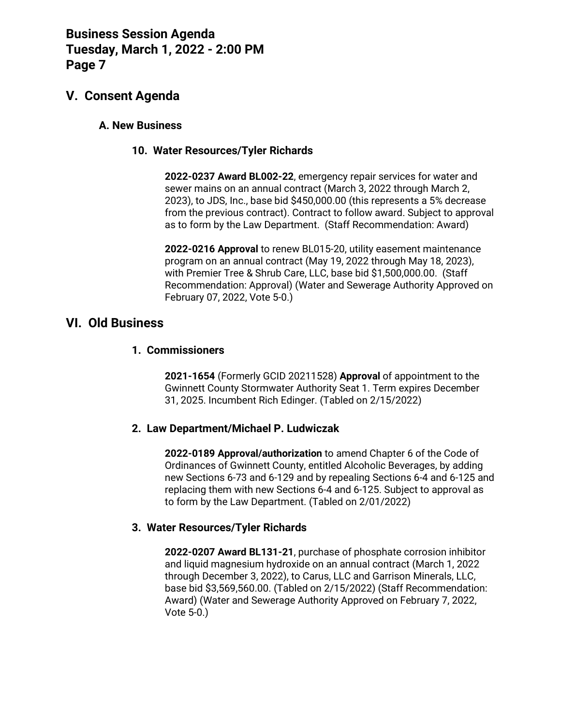### **V. Consent Agenda**

### **A. New Business**

### **10. Water Resources/Tyler Richards**

**2022-0237 Award BL002-22**, emergency repair services for water and sewer mains on an annual contract (March 3, 2022 through March 2, 2023), to JDS, Inc., base bid \$450,000.00 (this represents a 5% decrease from the previous contract). Contract to follow award. Subject to approval as to form by the Law Department. (Staff Recommendation: Award)

**2022-0216 Approval** to renew BL015-20, utility easement maintenance program on an annual contract (May 19, 2022 through May 18, 2023), with Premier Tree & Shrub Care, LLC, base bid \$1,500,000.00. (Staff Recommendation: Approval) (Water and Sewerage Authority Approved on February 07, 2022, Vote 5-0.)

### **VI. Old Business**

#### **1. Commissioners**

**2021-1654** (Formerly GCID 20211528) **Approval** of appointment to the Gwinnett County Stormwater Authority Seat 1. Term expires December 31, 2025. Incumbent Rich Edinger. (Tabled on 2/15/2022)

#### **2. Law Department/Michael P. Ludwiczak**

**2022-0189 Approval/authorization** to amend Chapter 6 of the Code of Ordinances of Gwinnett County, entitled Alcoholic Beverages, by adding new Sections 6-73 and 6-129 and by repealing Sections 6-4 and 6-125 and replacing them with new Sections 6-4 and 6-125. Subject to approval as to form by the Law Department. (Tabled on 2/01/2022)

### **3. Water Resources/Tyler Richards**

**2022-0207 Award BL131-21**, purchase of phosphate corrosion inhibitor and liquid magnesium hydroxide on an annual contract (March 1, 2022 through December 3, 2022), to Carus, LLC and Garrison Minerals, LLC, base bid \$3,569,560.00. (Tabled on 2/15/2022) (Staff Recommendation: Award) (Water and Sewerage Authority Approved on February 7, 2022, Vote 5-0.)